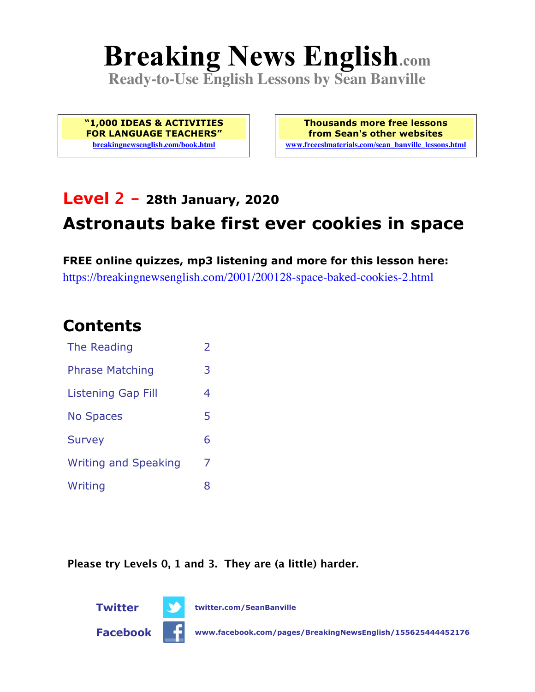# **Breaking News English.com**

**Ready-to-Use English Lessons by Sean Banville**

**"1,000 IDEAS & ACTIVITIES FOR LANGUAGE TEACHERS" breakingnewsenglish.com/book.html**

**Thousands more free lessons from Sean's other websites www.freeeslmaterials.com/sean\_banville\_lessons.html**

# **Level 2 - 28th January, 2020 Astronauts bake first ever cookies in space**

**FREE online quizzes, mp3 listening and more for this lesson here:** https://breakingnewsenglish.com/2001/200128-space-baked-cookies-2.html

#### **Contents**

| The Reading                 | $\overline{2}$ |
|-----------------------------|----------------|
| <b>Phrase Matching</b>      | 3              |
| Listening Gap Fill          | 4              |
| <b>No Spaces</b>            | 5              |
| <b>Survey</b>               | 6              |
| <b>Writing and Speaking</b> | 7              |
| Writing                     | 8              |

**Please try Levels 0, 1 and 3. They are (a little) harder.**



**Twitter twitter.com/SeanBanville**

**Facebook www.facebook.com/pages/BreakingNewsEnglish/155625444452176**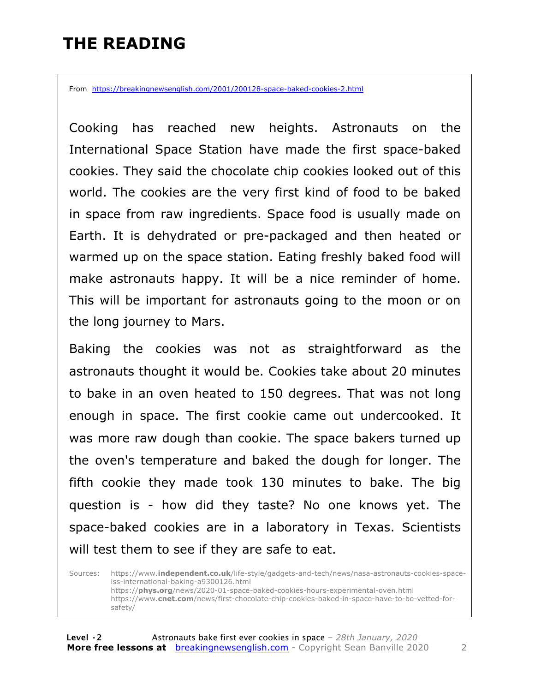#### **THE READING**

From https://breakingnewsenglish.com/2001/200128-space-baked-cookies-2.html

Cooking has reached new heights. Astronauts on the International Space Station have made the first space-baked cookies. They said the chocolate chip cookies looked out of this world. The cookies are the very first kind of food to be baked in space from raw ingredients. Space food is usually made on Earth. It is dehydrated or pre-packaged and then heated or warmed up on the space station. Eating freshly baked food will make astronauts happy. It will be a nice reminder of home. This will be important for astronauts going to the moon or on the long journey to Mars.

Baking the cookies was not as straightforward as the astronauts thought it would be. Cookies take about 20 minutes to bake in an oven heated to 150 degrees. That was not long enough in space. The first cookie came out undercooked. It was more raw dough than cookie. The space bakers turned up the oven's temperature and baked the dough for longer. The fifth cookie they made took 130 minutes to bake. The big question is - how did they taste? No one knows yet. The space-baked cookies are in a laboratory in Texas. Scientists will test them to see if they are safe to eat.

Sources: https://www.**independent.co.uk**/life-style/gadgets-and-tech/news/nasa-astronauts-cookies-spaceiss-international-baking-a9300126.html https://**phys.org**/news/2020-01-space-baked-cookies-hours-experimental-oven.html https://www.**cnet.com**/news/first-chocolate-chip-cookies-baked-in-space-have-to-be-vetted-forsafety/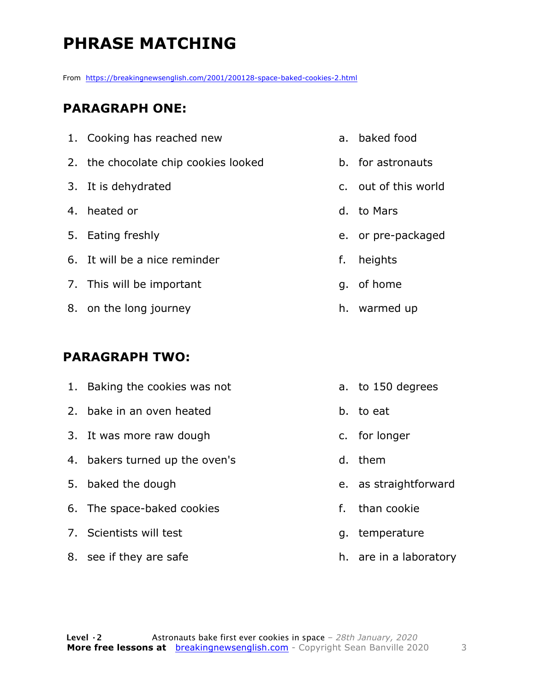## **PHRASE MATCHING**

From https://breakingnewsenglish.com/2001/200128-space-baked-cookies-2.html

#### **PARAGRAPH ONE:**

| 1. Cooking has reached new           |    | a. baked food        |
|--------------------------------------|----|----------------------|
| 2. the chocolate chip cookies looked |    | b. for astronauts    |
| 3. It is dehydrated                  |    | c. out of this world |
| 4. heated or                         |    | d. to Mars           |
| 5. Eating freshly                    |    | e. or pre-packaged   |
| 6. It will be a nice reminder        | f. | heights              |
| 7. This will be important            |    | g. of home           |
| 8. on the long journey               |    | h. warmed up         |
|                                      |    |                      |

#### **PARAGRAPH TWO:**

| 1. Baking the cookies was not  |    | a. to 150 degrees      |
|--------------------------------|----|------------------------|
| 2. bake in an oven heated      |    | b. to eat              |
| 3. It was more raw dough       |    | c. for longer          |
| 4. bakers turned up the oven's |    | d. them                |
| 5. baked the dough             |    | e. as straightforward  |
| 6. The space-baked cookies     | f. | than cookie            |
| 7. Scientists will test        |    | g. temperature         |
| 8. see if they are safe        |    | h. are in a laboratory |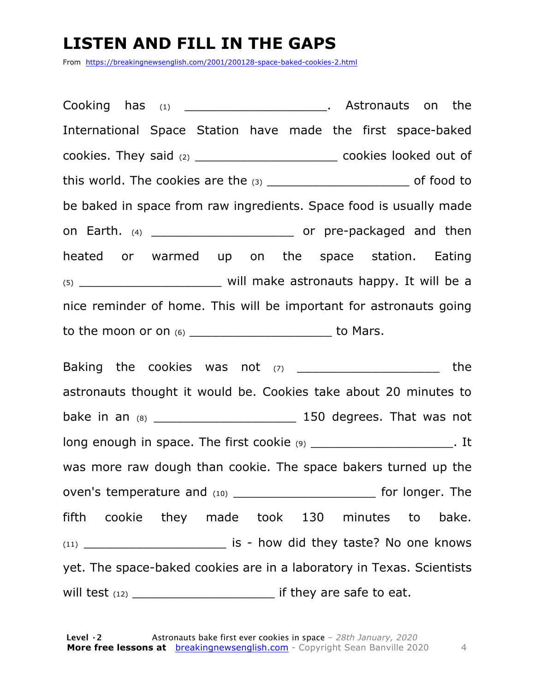#### **LISTEN AND FILL IN THE GAPS**

From https://breakingnewsenglish.com/2001/200128-space-baked-cookies-2.html

Cooking has (1) \_\_\_\_\_\_\_\_\_\_\_\_\_\_\_\_\_\_\_\_\_\_\_. Astronauts on the International Space Station have made the first space-baked cookies. They said (2) \_\_\_\_\_\_\_\_\_\_\_\_\_\_\_\_\_\_\_ cookies looked out of this world. The cookies are the (3) \_\_\_\_\_\_\_\_\_\_\_\_\_\_\_\_\_\_\_ of food to be baked in space from raw ingredients. Space food is usually made on Earth. (4) **Earth.** (4) **on Earth.** (5) **on Earth.** (5) **on Earth.** (5) **on**  $\alpha$  pre-packaged and then heated or warmed up on the space station. Eating (5) \_\_\_\_\_\_\_\_\_\_\_\_\_\_\_\_\_\_\_ will make astronauts happy. It will be a nice reminder of home. This will be important for astronauts going to the moon or on  $(6)$  \_\_\_\_\_\_\_\_\_\_\_\_\_\_\_\_\_\_\_\_\_\_\_\_\_\_\_\_\_\_\_ to Mars.

Baking the cookies was not (7) \_\_\_\_\_\_\_\_\_\_\_\_\_\_\_\_\_\_\_\_\_\_\_\_ the astronauts thought it would be. Cookies take about 20 minutes to bake in an (8) \_\_\_\_\_\_\_\_\_\_\_\_\_\_\_\_\_\_\_ 150 degrees. That was not long enough in space. The first cookie (9) \_\_\_\_\_\_\_\_\_\_\_\_\_\_\_\_\_\_\_\_\_\_\_. It was more raw dough than cookie. The space bakers turned up the oven's temperature and (10) example the same for longer. The fifth cookie they made took 130 minutes to bake. (11) \_\_\_\_\_\_\_\_\_\_\_\_\_\_\_\_\_\_\_ is - how did they taste? No one knows yet. The space-baked cookies are in a laboratory in Texas. Scientists will test (12) \_\_\_\_\_\_\_\_\_\_\_\_\_\_\_\_\_\_\_ if they are safe to eat.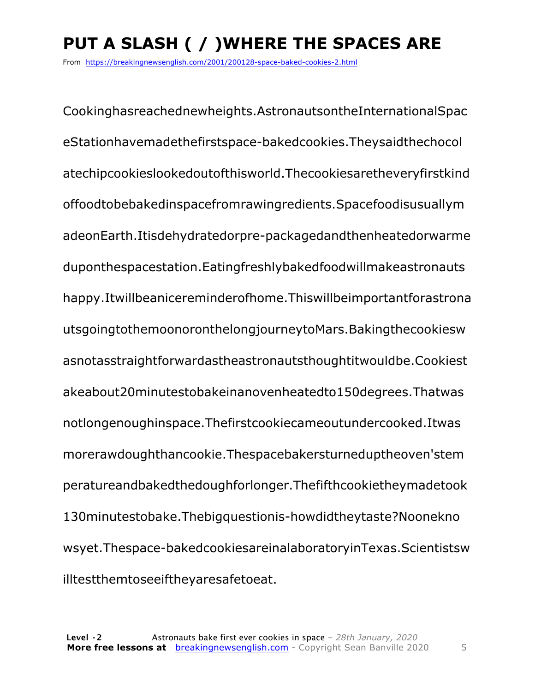# **PUT A SLASH ( / )WHERE THE SPACES ARE**

From https://breakingnewsenglish.com/2001/200128-space-baked-cookies-2.html

Cookinghasreachednewheights.AstronautsontheInternationalSpac eStationhavemadethefirstspace-bakedcookies.Theysaidthechocol atechipcookieslookedoutofthisworld.Thecookiesaretheveryfirstkind offoodtobebakedinspacefromrawingredients.Spacefoodisusuallym adeonEarth.Itisdehydratedorpre-packagedandthenheatedorwarme duponthespacestation.Eatingfreshlybakedfoodwillmakeastronauts happy.Itwillbeanicereminderofhome.Thiswillbeimportantforastrona utsgoingtothemoonoronthelongjourneytoMars.Bakingthecookiesw asnotasstraightforwardastheastronautsthoughtitwouldbe.Cookiest akeabout20minutestobakeinanovenheatedto150degrees.Thatwas notlongenoughinspace.Thefirstcookiecameoutundercooked.Itwas morerawdoughthancookie.Thespacebakersturneduptheoven'stem peratureandbakedthedoughforlonger.Thefifthcookietheymadetook 130minutestobake.Thebigquestionis-howdidtheytaste?Noonekno wsyet.Thespace-bakedcookiesareinalaboratoryinTexas.Scientistsw illtestthemtoseeiftheyaresafetoeat.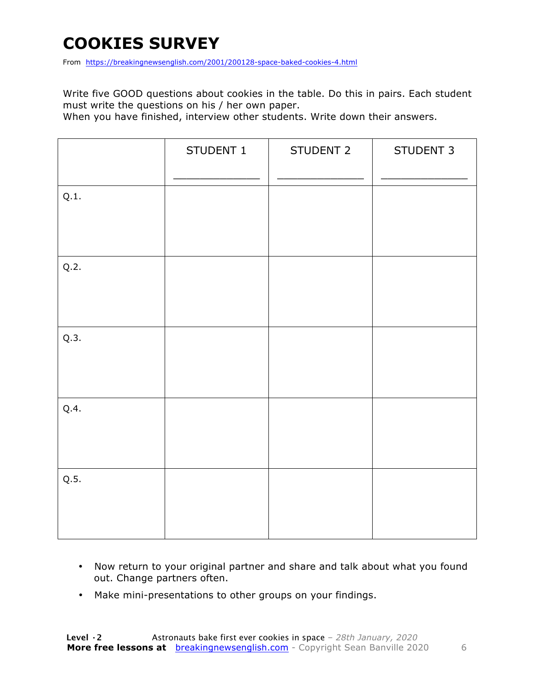## **COOKIES SURVEY**

From https://breakingnewsenglish.com/2001/200128-space-baked-cookies-4.html

Write five GOOD questions about cookies in the table. Do this in pairs. Each student must write the questions on his / her own paper.

When you have finished, interview other students. Write down their answers.

|      | STUDENT 1 | STUDENT 2 | STUDENT 3 |
|------|-----------|-----------|-----------|
| Q.1. |           |           |           |
| Q.2. |           |           |           |
| Q.3. |           |           |           |
| Q.4. |           |           |           |
| Q.5. |           |           |           |

- Now return to your original partner and share and talk about what you found out. Change partners often.
- Make mini-presentations to other groups on your findings.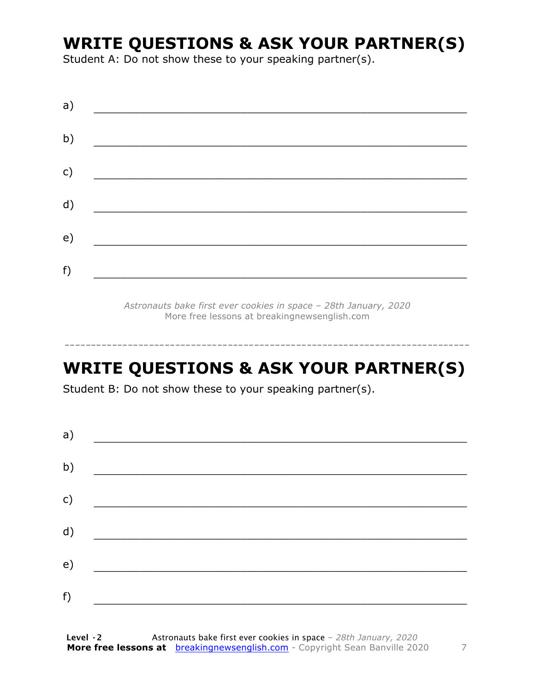#### **WRITE QUESTIONS & ASK YOUR PARTNER(S)**

Student A: Do not show these to your speaking partner(s).

| a) |  |  |
|----|--|--|
| b) |  |  |
| c) |  |  |
| d) |  |  |
| e) |  |  |
| f) |  |  |
|    |  |  |

*Astronauts bake first ever cookies in space – 28th January, 2020* More free lessons at breakingnewsenglish.com

#### **WRITE QUESTIONS & ASK YOUR PARTNER(S)**

-----------------------------------------------------------------------------

Student B: Do not show these to your speaking partner(s).

| a) |  |  |
|----|--|--|
| b) |  |  |
| c) |  |  |
| d) |  |  |
| e) |  |  |
| f) |  |  |
|    |  |  |